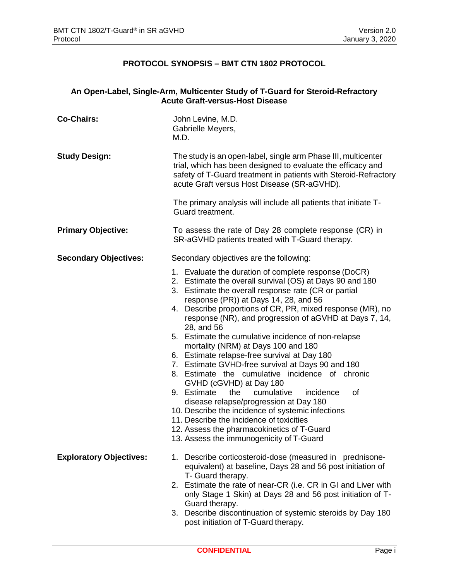## **PROTOCOL SYNOPSIS – BMT CTN 1802 PROTOCOL**

## **An Open-Label, Single-Arm, Multicenter Study of T-Guard for Steroid-Refractory Acute Graft-versus-Host Disease**

| <b>Co-Chairs:</b>              | John Levine, M.D.<br>Gabrielle Meyers,<br>M.D.                                                                                                                                                                                                                                                                                                                                                                                                                                                                                                                                                                                                                                                                                                                                                                                                                               |
|--------------------------------|------------------------------------------------------------------------------------------------------------------------------------------------------------------------------------------------------------------------------------------------------------------------------------------------------------------------------------------------------------------------------------------------------------------------------------------------------------------------------------------------------------------------------------------------------------------------------------------------------------------------------------------------------------------------------------------------------------------------------------------------------------------------------------------------------------------------------------------------------------------------------|
| <b>Study Design:</b>           | The study is an open-label, single arm Phase III, multicenter<br>trial, which has been designed to evaluate the efficacy and<br>safety of T-Guard treatment in patients with Steroid-Refractory<br>acute Graft versus Host Disease (SR-aGVHD).                                                                                                                                                                                                                                                                                                                                                                                                                                                                                                                                                                                                                               |
|                                | The primary analysis will include all patients that initiate T-<br>Guard treatment.                                                                                                                                                                                                                                                                                                                                                                                                                                                                                                                                                                                                                                                                                                                                                                                          |
| <b>Primary Objective:</b>      | To assess the rate of Day 28 complete response (CR) in<br>SR-aGVHD patients treated with T-Guard therapy.                                                                                                                                                                                                                                                                                                                                                                                                                                                                                                                                                                                                                                                                                                                                                                    |
| <b>Secondary Objectives:</b>   | Secondary objectives are the following:<br>1. Evaluate the duration of complete response (DoCR)                                                                                                                                                                                                                                                                                                                                                                                                                                                                                                                                                                                                                                                                                                                                                                              |
|                                | 2. Estimate the overall survival (OS) at Days 90 and 180<br>3. Estimate the overall response rate (CR or partial<br>response (PR)) at Days 14, 28, and 56<br>4. Describe proportions of CR, PR, mixed response (MR), no<br>response (NR), and progression of aGVHD at Days 7, 14,<br>28, and 56<br>5. Estimate the cumulative incidence of non-relapse<br>mortality (NRM) at Days 100 and 180<br>6. Estimate relapse-free survival at Day 180<br>7. Estimate GVHD-free survival at Days 90 and 180<br>8. Estimate the cumulative incidence of chronic<br>GVHD (cGVHD) at Day 180<br>9. Estimate<br>the<br>of<br>cumulative<br>incidence<br>disease relapse/progression at Day 180<br>10. Describe the incidence of systemic infections<br>11. Describe the incidence of toxicities<br>12. Assess the pharmacokinetics of T-Guard<br>13. Assess the immunogenicity of T-Guard |
| <b>Exploratory Objectives:</b> | 1. Describe corticosteroid-dose (measured in prednisone-<br>equivalent) at baseline, Days 28 and 56 post initiation of<br>T- Guard therapy.<br>2. Estimate the rate of near-CR (i.e. CR in GI and Liver with<br>only Stage 1 Skin) at Days 28 and 56 post initiation of T-<br>Guard therapy.<br>3. Describe discontinuation of systemic steroids by Day 180<br>post initiation of T-Guard therapy.                                                                                                                                                                                                                                                                                                                                                                                                                                                                           |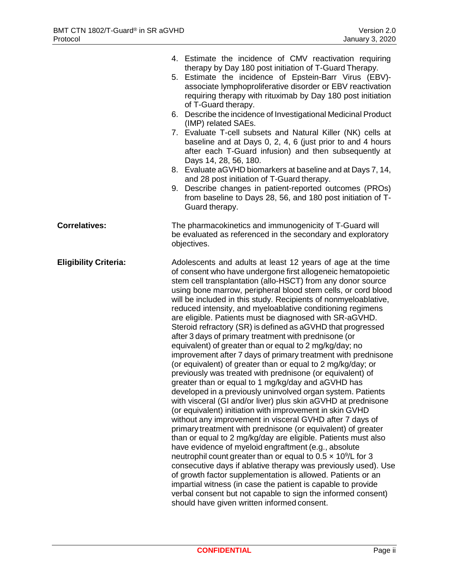|                              | 4. Estimate the incidence of CMV reactivation requiring<br>therapy by Day 180 post initiation of T-Guard Therapy.<br>5. Estimate the incidence of Epstein-Barr Virus (EBV)-<br>associate lymphoproliferative disorder or EBV reactivation<br>requiring therapy with rituximab by Day 180 post initiation<br>of T-Guard therapy.<br>6. Describe the incidence of Investigational Medicinal Product<br>(IMP) related SAEs.<br>7. Evaluate T-cell subsets and Natural Killer (NK) cells at<br>baseline and at Days 0, 2, 4, 6 (just prior to and 4 hours<br>after each T-Guard infusion) and then subsequently at<br>Days 14, 28, 56, 180.<br>8. Evaluate aGVHD biomarkers at baseline and at Days 7, 14,<br>and 28 post initiation of T-Guard therapy.<br>9. Describe changes in patient-reported outcomes (PROs)<br>from baseline to Days 28, 56, and 180 post initiation of T-<br>Guard therapy.                                                                                                                                                                                                                                                                                                                                                                                                                                                                                                                                                                                                                                                                                                                                                                                                                                       |
|------------------------------|----------------------------------------------------------------------------------------------------------------------------------------------------------------------------------------------------------------------------------------------------------------------------------------------------------------------------------------------------------------------------------------------------------------------------------------------------------------------------------------------------------------------------------------------------------------------------------------------------------------------------------------------------------------------------------------------------------------------------------------------------------------------------------------------------------------------------------------------------------------------------------------------------------------------------------------------------------------------------------------------------------------------------------------------------------------------------------------------------------------------------------------------------------------------------------------------------------------------------------------------------------------------------------------------------------------------------------------------------------------------------------------------------------------------------------------------------------------------------------------------------------------------------------------------------------------------------------------------------------------------------------------------------------------------------------------------------------------------------------------|
| <b>Correlatives:</b>         | The pharmacokinetics and immunogenicity of T-Guard will<br>be evaluated as referenced in the secondary and exploratory<br>objectives.                                                                                                                                                                                                                                                                                                                                                                                                                                                                                                                                                                                                                                                                                                                                                                                                                                                                                                                                                                                                                                                                                                                                                                                                                                                                                                                                                                                                                                                                                                                                                                                                  |
| <b>Eligibility Criteria:</b> | Adolescents and adults at least 12 years of age at the time<br>of consent who have undergone first allogeneic hematopoietic<br>stem cell transplantation (allo-HSCT) from any donor source<br>using bone marrow, peripheral blood stem cells, or cord blood<br>will be included in this study. Recipients of nonmyeloablative,<br>reduced intensity, and myeloablative conditioning regimens<br>are eligible. Patients must be diagnosed with SR-aGVHD.<br>Steroid refractory (SR) is defined as aGVHD that progressed<br>after 3 days of primary treatment with prednisone (or<br>equivalent) of greater than or equal to 2 mg/kg/day; no<br>improvement after 7 days of primary treatment with prednisone<br>(or equivalent) of greater than or equal to 2 mg/kg/day; or<br>previously was treated with prednisone (or equivalent) of<br>greater than or equal to 1 mg/kg/day and aGVHD has<br>developed in a previously uninvolved organ system. Patients<br>with visceral (GI and/or liver) plus skin aGVHD at prednisone<br>(or equivalent) initiation with improvement in skin GVHD<br>without any improvement in visceral GVHD after 7 days of<br>primary treatment with prednisone (or equivalent) of greater<br>than or equal to 2 mg/kg/day are eligible. Patients must also<br>have evidence of myeloid engraftment (e.g., absolute<br>neutrophil count greater than or equal to $0.5 \times 10^9$ /L for 3<br>consecutive days if ablative therapy was previously used). Use<br>of growth factor supplementation is allowed. Patients or an<br>impartial witness (in case the patient is capable to provide<br>verbal consent but not capable to sign the informed consent)<br>should have given written informed consent. |